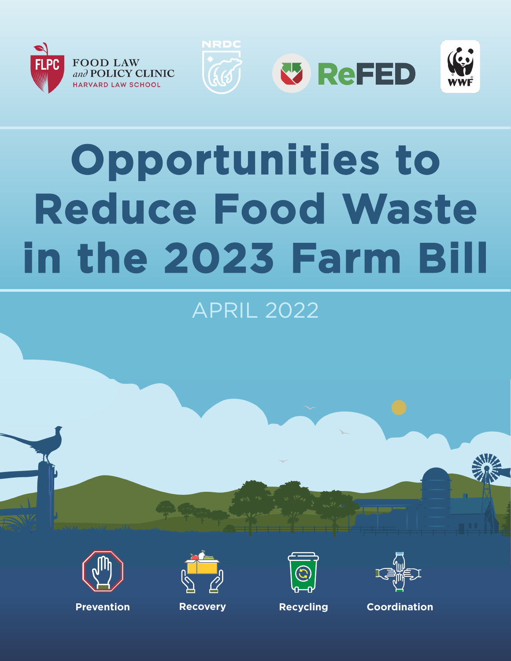









# **Opportunities to Reduce Food Waste in the 2023 Farm Bill**

## APRIL 2022









**Prevention Recovery Recycling Coordination**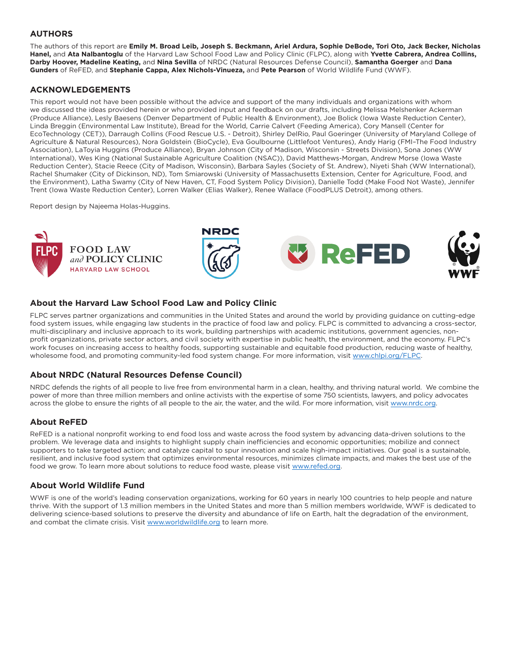#### **AUTHORS**

The authors of this report are **Emily M. Broad Leib, Joseph S. Beckmann, Ariel Ardura, Sophie DeBode, Tori Oto, Jack Becker, Nicholas Hanel,** and **Ata Nalbantoglu** of the Harvard Law School Food Law and Policy Clinic (FLPC), along with **Yvette Cabrera, Andrea Collins, Darby Hoover, Madeline Keating,** and **Nina Sevilla** of NRDC (Natural Resources Defense Council), **Samantha Goerger** and **Dana Gunders** of ReFED, and **Stephanie Cappa, Alex Nichols-Vinueza,** and **Pete Pearson** of World Wildlife Fund (WWF).

#### **ACKNOWLEDGEMENTS**

This report would not have been possible without the advice and support of the many individuals and organizations with whom we discussed the ideas provided herein or who provided input and feedback on our drafts, including Melissa Melshenker Ackerman (Produce Alliance), Lesly Baesens (Denver Department of Public Health & Environment), Joe Bolick (Iowa Waste Reduction Center), Linda Breggin (Environmental Law Institute), Bread for the World, Carrie Calvert (Feeding America), Cory Mansell (Center for EcoTechnology (CET)), Darraugh Collins (Food Rescue U.S. - Detroit), Shirley DelRio, Paul Goeringer (University of Maryland College of Agriculture & Natural Resources), Nora Goldstein (BioCycle), Eva Goulbourne (Littlefoot Ventures), Andy Harig (FMI–The Food Industry Association), LaToyia Huggins (Produce Alliance), Bryan Johnson (City of Madison, Wisconsin - Streets Division), Sona Jones (WW International), Wes King (National Sustainable Agriculture Coalition (NSAC)), David Matthews-Morgan, Andrew Morse (Iowa Waste Reduction Center), Stacie Reece (City of Madison, Wisconsin), Barbara Sayles (Society of St. Andrew), Niyeti Shah (WW International), Rachel Shumaker (City of Dickinson, ND), Tom Smiarowski (University of Massachusetts Extension, Center for Agriculture, Food, and the Environment), Latha Swamy (City of New Haven, CT, Food System Policy Division), Danielle Todd (Make Food Not Waste), Jennifer Trent (Iowa Waste Reduction Center), Lorren Walker (Elias Walker), Renee Wallace (FoodPLUS Detroit), among others.

Report design by Najeema Holas-Huggins.



#### **About the Harvard Law School Food Law and Policy Clinic**

FLPC serves partner organizations and communities in the United States and around the world by providing guidance on cutting-edge food system issues, while engaging law students in the practice of food law and policy. FLPC is committed to advancing a cross-sector, multi-disciplinary and inclusive approach to its work, building partnerships with academic institutions, government agencies, nonprofit organizations, private sector actors, and civil society with expertise in public health, the environment, and the economy. FLPC's work focuses on increasing access to healthy foods, supporting sustainable and equitable food production, reducing waste of healthy, wholesome food, and promoting community-led food system change. For more information, visit [www.chlpi.org/FLPC](http://www.chlpi.org/FLPC).

#### **About NRDC (Natural Resources Defense Council)**

NRDC defends the rights of all people to live free from environmental harm in a clean, healthy, and thriving natural world. We combine the power of more than three million members and online activists with the expertise of some 750 scientists, lawyers, and policy advocates across the globe to ensure the rights of all people to the air, the water, and the wild. For more information, visit [www.nrdc.org](http://www.nrdc.org).

#### **About ReFED**

ReFED is a national nonprofit working to end food loss and waste across the food system by advancing data-driven solutions to the problem. We leverage data and insights to highlight supply chain inefficiencies and economic opportunities; mobilize and connect supporters to take targeted action; and catalyze capital to spur innovation and scale high-impact initiatives. Our goal is a sustainable, resilient, and inclusive food system that optimizes environmental resources, minimizes climate impacts, and makes the best use of the food we grow. To learn more about solutions to reduce food waste, please visit [www.refed.org](https://urldefense.proofpoint.com/v2/url?u=http-3A__www.refed.org&d=DwMFaQ&c=WO-RGvefibhHBZq3fL85hQ&r=qeK-DXPqOAINGeVJHvGwQOREPr8gQfA7MVK0M8_4Odw&m=Mb3QOvZ6eCgnZHjERU9sHm88IDefIOX7SA8m-hPpnao3YSBytk_NRyIxCsk0UL23&s=AKrqWM6LpaD4b3i8LXNvwptfnhWTjjszStti50PhllU&e=).

#### **About World Wildlife Fund**

WWF is one of the world's leading conservation organizations, working for 60 years in nearly 100 countries to help people and nature thrive. With the support of 1.3 million members in the United States and more than 5 million members worldwide, WWF is dedicated to delivering science-based solutions to preserve the diversity and abundance of life on Earth, halt the degradation of the environment, and combat the climate crisis. Visit [www.worldwildlife.org](http://www.worldwildlife.org) to learn more.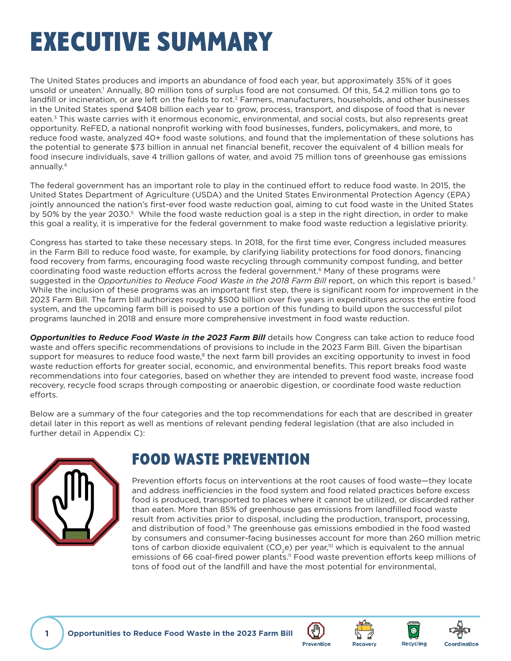## <span id="page-2-0"></span>EXECUTIVE SUMMARY

The United States produces and imports an abundance of food each year, but approximately 35% of it goes unsold or uneaten.<sup>1</sup> Annually, 80 million tons of surplus food are not consumed. Of this, 54.2 million tons go to landfill or incineration, or are left on the fields to rot.<sup>2</sup> Farmers, manufacturers, households, and other businesses in the United States spend \$408 billion each year to grow, process, transport, and dispose of food that is never eaten.<sup>3</sup> This waste carries with it enormous economic, environmental, and social costs, but also represents great opportunity. ReFED, a national nonprofit working with food businesses, funders, policymakers, and more, to reduce food waste, analyzed 40+ food waste solutions, and found that the implementation of these solutions has the potential to generate \$73 billion in annual net financial benefit, recover the equivalent of 4 billion meals for food insecure individuals, save 4 trillion gallons of water, and avoid 75 million tons of greenhouse gas emissions annually.[4](#page-6-0)

The federal government has an important role to play in the continued effort to reduce food waste. In 2015, the United States Department of Agriculture (USDA) and the United States Environmental Protection Agency (EPA) jointly announced the nation's first-ever food waste reduction goal, aiming to cut food waste in the United States by [5](#page-6-0)0% by the year 2030.<sup>5</sup> While the food waste reduction goal is a step in the right direction, in order to make this goal a reality, it is imperative for the federal government to make food waste reduction a legislative priority.

Congress has started to take these necessary steps. In 2018, for the first time ever, Congress included measures in the Farm Bill to reduce food waste, for example, by clarifying liability protections for food donors, financing food recovery from farms, encouraging food waste recycling through community compost funding, and better coordinating food waste reduction efforts across the federal government.<sup>[6](#page-6-0)</sup> Many of these programs were suggested in the *Opportunities to Reduce Food Waste in the 2018 Farm Bill* report, on which this report is based.<sup>7</sup> While the inclusion of these programs was an important first step, there is significant room for improvement in the 2023 Farm Bill. The farm bill authorizes roughly \$500 billion over five years in expenditures across the entire food system, and the upcoming farm bill is poised to use a portion of this funding to build upon the successful pilot programs launched in 2018 and ensure more comprehensive investment in food waste reduction.

*Opportunities to Reduce Food Waste in the 2023 Farm Bill* details how Congress can take action to reduce food waste and offers specific recommendations of provisions to include in the 2023 Farm Bill. Given the bipartisan support for measures to reduce food waste, $8$  the next farm bill provides an exciting opportunity to invest in food waste reduction efforts for greater social, economic, and environmental benefits. This report breaks food waste recommendations into four categories, based on whether they are intended to prevent food waste, increase food recovery, recycle food scraps through composting or anaerobic digestion, or coordinate food waste reduction efforts.

Below are a summary of the four categories and the top recommendations for each that are described in greater detail later in this report as well as mentions of relevant pending federal legislation (that are also included in further detail in Appendix C):



## FOOD WASTE PREVENTION

Prevention efforts focus on interventions at the root causes of food waste—they locate and address inefficiencies in the food system and food related practices before excess food is produced, transported to places where it cannot be utilized, or discarded rather than eaten. More than 85% of greenhouse gas emissions from landfilled food waste result from activities prior to disposal, including the production, transport, processing, and distribution of food.<sup>9</sup> The greenhouse gas emissions embodied in the food wasted by consumers and consumer-facing businesses account for more than 260 million metric tons of carbon dioxide equivalent  $(CO<sub>2</sub>e)$  per year,<sup>10</sup> which is equivalent to the annual emissions of 66 coal-fired power plants.<sup>11</sup> Food waste prevention efforts keep millions of tons of food out of the landfill and have the most potential for environmental,









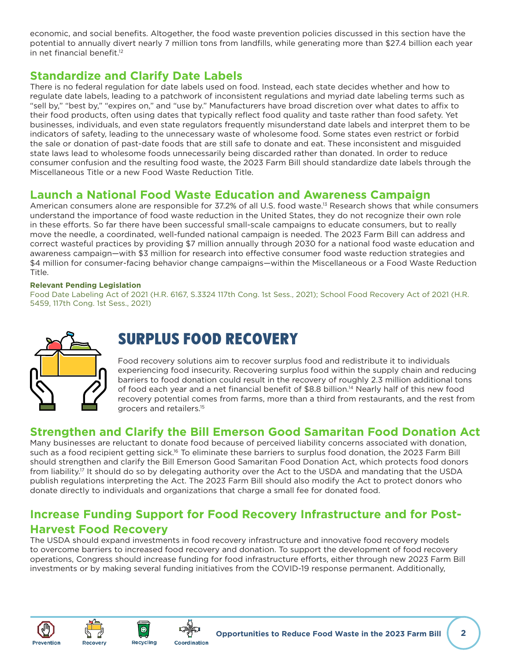<span id="page-3-0"></span>economic, and social benefits. Altogether, the food waste prevention policies discussed in this section have the potential to annually divert nearly 7 million tons from landfills, while generating more than \$27.4 billion each year in net financial benefit $12$ 

### **Standardize and Clarify Date Labels**

There is no federal regulation for date labels used on food. Instead, each state decides whether and how to regulate date labels, leading to a patchwork of inconsistent regulations and myriad date labeling terms such as "sell by," "best by," "expires on," and "use by." Manufacturers have broad discretion over what dates to affix to their food products, often using dates that typically reflect food quality and taste rather than food safety. Yet businesses, individuals, and even state regulators frequently misunderstand date labels and interpret them to be indicators of safety, leading to the unnecessary waste of wholesome food. Some states even restrict or forbid the sale or donation of past-date foods that are still safe to donate and eat. These inconsistent and misguided state laws lead to wholesome foods unnecessarily being discarded rather than donated. In order to reduce consumer confusion and the resulting food waste, the 2023 Farm Bill should standardize date labels through the Miscellaneous Title or a new Food Waste Reduction Title.

### **Launch a National Food Waste Education and Awareness Campaign**

American consumers alone are responsible for 37.2% of all U.S. food waste.<sup>13</sup> Research shows that while consumers understand the importance of food waste reduction in the United States, they do not recognize their own role in these efforts. So far there have been successful small-scale campaigns to educate consumers, but to really move the needle, a coordinated, well-funded national campaign is needed. The 2023 Farm Bill can address and correct wasteful practices by providing \$7 million annually through 2030 for a national food waste education and awareness campaign—with \$3 million for research into effective consumer food waste reduction strategies and \$4 million for consumer-facing behavior change campaigns—within the Miscellaneous or a Food Waste Reduction Title.

#### **Relevant Pending Legislation**

Food Date Labeling Act of 2021 (H.R. 6167, S.3324 117th Cong. 1st Sess., 2021); School Food Recovery Act of 2021 (H.R. 5459, 117th Cong. 1st Sess., 2021)



## SURPLUS FOOD RECOVERY

Food recovery solutions aim to recover surplus food and redistribute it to individuals experiencing food insecurity. Recovering surplus food within the supply chain and reducing barriers to food donation could result in the recovery of roughly 2.3 million additional tons of food each year and a net financial benefit of \$8.8 billion.<sup>14</sup> Nearly half of this new food recovery potential comes from farms, more than a third from restaurants, and the rest from grocers and retailers[.15](#page-6-0)

### **Strengthen and Clarify the Bill Emerson Good Samaritan Food Donation Act**

Many businesses are reluctant to donate food because of perceived liability concerns associated with donation, such as a food recipient getting sick.<sup>16</sup> To eliminate these barriers to surplus food donation, the 2023 Farm Bill should strengthen and clarify the Bill Emerson Good Samaritan Food Donation Act, which protects food donors from liability[.17](#page-6-0) It should do so by delegating authority over the Act to the USDA and mandating that the USDA publish regulations interpreting the Act. The 2023 Farm Bill should also modify the Act to protect donors who donate directly to individuals and organizations that charge a small fee for donated food.

## **Increase Funding Support for Food Recovery Infrastructure and for Post-Harvest Food Recovery**

The USDA should expand investments in food recovery infrastructure and innovative food recovery models to overcome barriers to increased food recovery and donation. To support the development of food recovery operations, Congress should increase funding for food infrastructure efforts, either through new 2023 Farm Bill investments or by making several funding initiatives from the COVID-19 response permanent. Additionally,





 $\bullet$ 

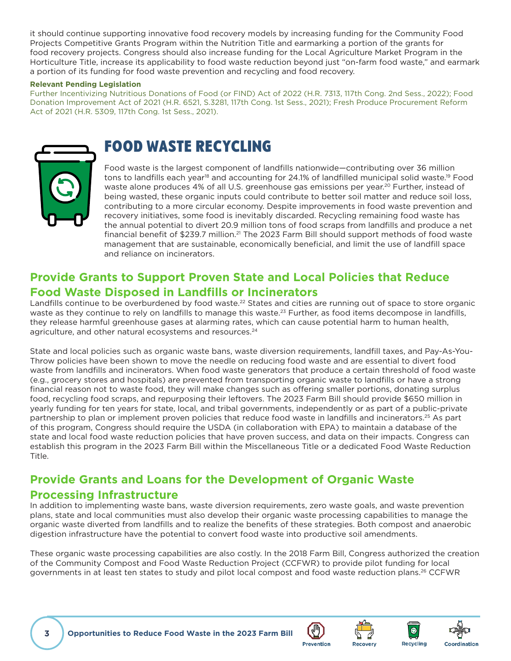<span id="page-4-0"></span>it should continue supporting innovative food recovery models by increasing funding for the Community Food Projects Competitive Grants Program within the Nutrition Title and earmarking a portion of the grants for food recovery projects. Congress should also increase funding for the Local Agriculture Market Program in the Horticulture Title, increase its applicability to food waste reduction beyond just "on-farm food waste," and earmark a portion of its funding for food waste prevention and recycling and food recovery.

#### **Relevant Pending Legislation**

Further Incentivizing Nutritious Donations of Food (or FIND) Act of 2022 (H.R. 7313, 117th Cong. 2nd Sess., 2022); Food Donation Improvement Act of 2021 (H.R. 6521, S.3281, 117th Cong. 1st Sess., 2021); Fresh Produce Procurement Reform Act of 2021 (H.R. 5309, 117th Cong. 1st Sess., 2021).



## FOOD WASTE RECYCLING

Food waste is the largest component of landfills nationwide—contributing over 36 million tons to landfills each year<sup>18</sup> and accounting for 24.1% of landfilled municipal solid waste.<sup>19</sup> Food waste alone produces 4% of all U.S. greenhouse gas emissions per year.<sup>20</sup> Further, instead of being wasted, these organic inputs could contribute to better soil matter and reduce soil loss, contributing to a more circular economy. Despite improvements in food waste prevention and recovery initiatives, some food is inevitably discarded. Recycling remaining food waste has the annual potential to divert 20.9 million tons of food scraps from landfills and produce a net financial benefit of \$239.7 million.<sup>21</sup> The 2023 Farm Bill should support methods of food waste management that are sustainable, economically beneficial, and limit the use of landfill space and reliance on incinerators.

## **Provide Grants to Support Proven State and Local Policies that Reduce Food Waste Disposed in Landfills or Incinerators**

Landfills continue to be overburdened by food waste.<sup>22</sup> States and cities are running out of space to store organic waste as they continue to rely on landfills to manage this waste.<sup>23</sup> Further, as food items decompose in landfills, they release harmful greenhouse gases at alarming rates, which can cause potential harm to human health, agriculture, and other natural ecosystems and resources.<sup>[24](#page-6-0)</sup>

State and local policies such as organic waste bans, waste diversion requirements, landfill taxes, and Pay-As-You-Throw policies have been shown to move the needle on reducing food waste and are essential to divert food waste from landfills and incinerators. When food waste generators that produce a certain threshold of food waste (e.g., grocery stores and hospitals) are prevented from transporting organic waste to landfills or have a strong financial reason not to waste food, they will make changes such as offering smaller portions, donating surplus food, recycling food scraps, and repurposing their leftovers. The 2023 Farm Bill should provide \$650 million in yearly funding for ten years for state, local, and tribal governments, independently or as part of a public-private partnership to plan or implement proven policies that reduce food waste in landfills and incinerators.[25](#page-6-0) As part of this program, Congress should require the USDA (in collaboration with EPA) to maintain a database of the state and local food waste reduction policies that have proven success, and data on their impacts. Congress can establish this program in the 2023 Farm Bill within the Miscellaneous Title or a dedicated Food Waste Reduction Title.

## **Provide Grants and Loans for the Development of Organic Waste**

#### **Processing Infrastructure**

In addition to implementing waste bans, waste diversion requirements, zero waste goals, and waste prevention plans, state and local communities must also develop their organic waste processing capabilities to manage the organic waste diverted from landfills and to realize the benefits of these strategies. Both compost and anaerobic digestion infrastructure have the potential to convert food waste into productive soil amendments.

These organic waste processing capabilities are also costly. In the 2018 Farm Bill, Congress authorized the creation of the Community Compost and Food Waste Reduction Project (CCFWR) to provide pilot funding for local governments in at least ten states to study and pilot local compost and food waste reduction plans.<sup>26</sup> CCFWR







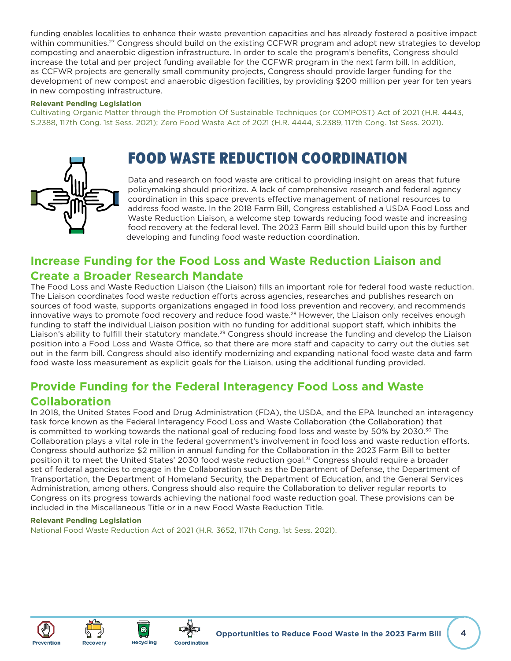<span id="page-5-0"></span>funding enables localities to enhance their waste prevention capacities and has already fostered a positive impact within communities.<sup>[27](#page-6-0)</sup> Congress should build on the existing CCFWR program and adopt new strategies to develop composting and anaerobic digestion infrastructure. In order to scale the program's benefits, Congress should increase the total and per project funding available for the CCFWR program in the next farm bill. In addition, as CCFWR projects are generally small community projects, Congress should provide larger funding for the development of new compost and anaerobic digestion facilities, by providing \$200 million per year for ten years in new composting infrastructure.

#### **Relevant Pending Legislation**

Cultivating Organic Matter through the Promotion Of Sustainable Techniques (or COMPOST) Act of 2021 (H.R. 4443, S.2388, 117th Cong. 1st Sess. 2021); Zero Food Waste Act of 2021 (H.R. 4444, S.2389, 117th Cong. 1st Sess. 2021).

## FOOD WASTE REDUCTION COORDINATION

Data and research on food waste are critical to providing insight on areas that future policymaking should prioritize. A lack of comprehensive research and federal agency coordination in this space prevents effective management of national resources to address food waste. In the 2018 Farm Bill, Congress established a USDA Food Loss and Waste Reduction Liaison, a welcome step towards reducing food waste and increasing food recovery at the federal level. The 2023 Farm Bill should build upon this by further developing and funding food waste reduction coordination.

## **Increase Funding for the Food Loss and Waste Reduction Liaison and Create a Broader Research Mandate**

The Food Loss and Waste Reduction Liaison (the Liaison) fills an important role for federal food waste reduction. The Liaison coordinates food waste reduction efforts across agencies, researches and publishes research on sources of food waste, supports organizations engaged in food loss prevention and recovery, and recommends innovative ways to promote food recovery and reduce food waste.<sup>28</sup> However, the Liaison only receives enough funding to staff the individual Liaison position with no funding for additional support staff, which inhibits the Liaison's ability to fulfill their statutory mandate.<sup>29</sup> Congress should increase the funding and develop the Liaison position into a Food Loss and Waste Office, so that there are more staff and capacity to carry out the duties set out in the farm bill. Congress should also identify modernizing and expanding national food waste data and farm food waste loss measurement as explicit goals for the Liaison, using the additional funding provided.

## **Provide Funding for the Federal Interagency Food Loss and Waste Collaboration**

In 2018, the United States Food and Drug Administration (FDA), the USDA, and the EPA launched an interagency task force known as the Federal Interagency Food Loss and Waste Collaboration (the Collaboration) that is committed to working towards the national goal of reducing food loss and waste by 50% by 20[30](#page-6-0).<sup>30</sup> The Collaboration plays a vital role in the federal government's involvement in food loss and waste reduction efforts. Congress should authorize \$2 million in annual funding for the Collaboration in the 2023 Farm Bill to better position it to meet the United States' 2030 food waste reduction goal.<sup>[31](#page-6-0)</sup> Congress should require a broader set of federal agencies to engage in the Collaboration such as the Department of Defense, the Department of Transportation, the Department of Homeland Security, the Department of Education, and the General Services Administration, among others. Congress should also require the Collaboration to deliver regular reports to Congress on its progress towards achieving the national food waste reduction goal. These provisions can be included in the Miscellaneous Title or in a new Food Waste Reduction Title.

#### **Relevant Pending Legislation**

National Food Waste Reduction Act of 2021 (H.R. 3652, 117th Cong. 1st Sess. 2021).





 $\bullet$ 

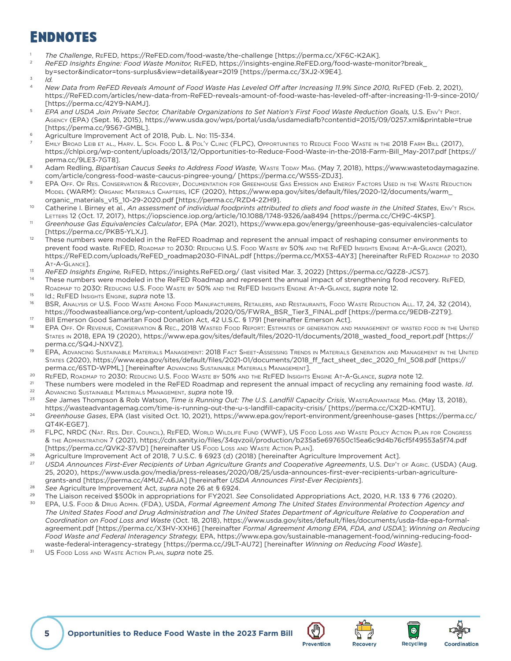## <span id="page-6-0"></span>**ENDNOTES**

- [1](#page-2-0) *The Challenge*, ReFED, https://ReFED.com/food-waste/the-challenge [https://perma.cc/XF6C-K2AK].
- [2](#page-2-0) *ReFED Insights Engine: Food Waste Monitor,* ReFED, https://insights-engine.ReFED.org/food-waste-monitor?break\_
- by=sector&indicator=tons-surplus&view=detail&year=2019 [<https://perma.cc/3XJ2-X9E4>].
- $3$  *Id.*
- New Data from ReFED Reveals Amount of Food Waste Has Leveled Off after Increasing 11.9% Since 2010, REFED (Feb. 2, 2021), https://ReFED.com/articles/new-data-from-ReFED-reveals-amount-of-food-waste-has-leveled-off-after-increasing-11-9-since-2010/
- [https://perma.cc/42Y9-NAMJ]. [5](#page-2-0) *EPA and USDA Join Private Sector, Charitable Organizations to Set Nation's First Food Waste Reduction Goals,* U.S. Env't Prot. Agency (EPA) (Sept. 16, 2015), https://www.usda.gov/wps/portal/usda/usdamediafb?contentid=2015/09/0257.xml&printable=true [https://perma.cc/9S67-GMBL].
- [6](#page-2-0) Agriculture Improvement Act of 2018, Pub. L. No: 115-334.
- EMILY BROAD LEIB ET AL., HARV. L. SCH. FOOD L. & POL'Y CLINIC (FLPC), OPPORTUNITIES TO REDUCE FOOD WASTE IN THE 2018 FARM BILL (201[7](#page-2-0)), https://chlpi.org/wp-content/uploads/2013/12/Opportunities-to-Reduce-Food-Waste-in-the-2018-Farm-Bill\_May-2017.pdf [[https://](https://perma.cc/9LE3-7GT8)
- [perma.cc/9LE3-7GT8\]](https://perma.cc/9LE3-7GT8).<br>Adam Redling, *Bipartisan Caucus Seeks to Address Food Waste*, Waste Topay Mag. (May 7, 201[8](#page-2-0)), https://www.wastetodaymagazine. com/article/congress-food-waste-caucus-pingree-young/ [https://perma.cc/WS5S-ZDJ3]. [9](#page-2-0) EPA Off. Of Res. Conservation & Recovery, Documentation for Greenhouse Gas Emission and Energy Factors Used in the Waste Reduction
- Model (WARM): Organic Materials Chapters, ICF (2020), https://www.epa.gov/sites/default/files/2020-12/documents/warm\_ organic\_materials\_v15\_10-29-2020.pdf [https://perma.cc/RZD4-2ZH9].
- [10](#page-2-0) Catherine I. Birney et al*.*, *An assessment of individual foodprints attributed to diets and food waste in the United States*, Env't Rsch. Letters 12 (Oct. 17, 2017), https://iopscience.iop.org/article/10.1088/1748-9326/aa8494 [https://perma.cc/CH9C-4KSP].
- [11](#page-2-0) *Greenhouse Gas Equivalencies Calculator*, EPA (Mar. 2021), https://www.epa.gov/energy/greenhouse-gas-equivalencies-calculator [https://perma.cc/PKB5-YLXJ].
- $12$  These numbers were modeled in the ReFED Roadmap and represent the annual impact of reshaping consumer environments to prevent food waste. ReFED, Roadmap to 2030: Reducing U.S. Food Waste by 50% and the ReFED Insights Engine At-A-Glance (2021), https://ReFED.com/uploads/ReFED\_roadmap2030-FINAL.pdf [https://perma.cc/MX53-4AY3] [hereinafter ReFED Roadmap to 2030
- At-A-Glance]. [13](#page-3-0) *ReFED Insights Engine,* ReFED, https://insights.ReFED.org/ (last visited Mar. 3, 2022) [https://perma.cc/Q2Z8-JCS7].
- <sup>[14](#page-3-0)</sup> These numbers were modeled in the ReFED Roadmap and represent the annual impact of strengthening food recovery. ReFED, ROADMAP TO 2030: REDUCING U.S. FOOD WASTE BY 50% AND THE REFED INSIGHTS ENGINE AT-A-GLANCE, *supra* note 12. [15](#page-3-0) Id.; ReFED Insights Engine, *supra* note 13.
- 
- <sup>[16](#page-3-0)</sup> BSR, Analysis of U.S. Food Waste Among Food Manufacturers, Retailers, and Restaurants, Food Waste Reduction All. 17, 24, 32 (2014), https://foodwastealliance.org/wp-content/uploads/2020/05/FWRA\_BSR\_Tier3\_FINAL.pdf [https://perma.cc/9EDB-Z2T9].
- <sup>17</sup> Bill Emerson Good Samaritan Food Donation Act, 42 U.S.C. § 1791 [hereinafter Emerson Act].<br><sup>[18](#page-4-0)</sup> EPA OFF. OF Revenue, Conservation & Rec., 2018 Wasted Food Report: Estimates of generation and management of wasted food States in 2018, EPA 19 (2020), https://www.epa.gov/sites/default/files/2020-11/documents/2018\_wasted\_food\_report.pdf [https:// perma.cc/SQ4J-NXVZ].
- [19](#page-4-0) EPA, Advancing Sustainable Materials Management: 2018 Fact Sheet-Assessing Trends in Materials Generation and Management in the United States (2020), https://www.epa.gov/sites/default/files/2021-01/documents/2018\_ff\_fact\_sheet\_dec\_2020\_fnl\_508.pdf [https:// perma.cc/6STD-WPML] [hereinafter Advancing Sustainable Materials Management].
- [20](#page-4-0) ReFED, Roadmap to 2030: Reducing U.S. Food Waste by 50% and the ReFED Insights Engine At-A-Glance, *supra* note 12.
- [21](#page-4-0) These numbers were modeled in the ReFED Roadmap and represent the annual impact of recycling any remaining food waste. *Id*. [22](#page-4-0) Advancing Sustainable Materials Management, *supra* note 19.
- [23](#page-4-0) *See* James Thompson & Rob Watson, *Time is Running Out: The U.S. Landfill Capacity Crisis*, WasteAdvantage Mag. (May 13, 2018), https://wasteadvantagemag.com/time-is-running-out-the-u-s-landfill-capacity-crisis/ [https://perma.cc/CX2D-KMTU].
- [24](#page-4-0) *Greenhouse Gases*, EPA (last visited Oct. 10, 2021), https://www.epa.gov/report-environment/greenhouse-gases [https://perma.cc/ QT4K-EGE7].
- [25](#page-4-0) FLPC, NRDC (NAT. RES. DEF. COUNCIL), REFED, WORLD WILDLIFE FUND (WWF), US FOOD LOSS AND WASTE POLICY ACTION PLAN FOR CONGRESS & the Administration 7 (2021), https://cdn.sanity.io/files/34qvzoil/production/b235a5e697650c15ea6c9d4b76cf5f49553a5f74.pdf [https://perma.cc/QVK2-37VD] [hereinafter US Food Loss and Waste Action Plan].
- <sup>[26](#page-4-0)</sup> Agriculture Improvement Act of 2018, 7 U.S.C. § 6923 (d) (2018) [hereinafter Agriculture Improvement Act].<br>27 LISDA Appeupses First-First Pesipients of Urban Agriculture Grants and Cooperative Agreements U.S. Dreits
- [27](#page-5-0) *USDA Announces First-Ever Recipients of Urban Agriculture Grants and Cooperative Agreements*, U.S. Dep't of Agric. (USDA) (Aug. 25, 2020), https://www.usda.gov/media/press-releases/2020/08/25/usda-announces-first-ever-recipients-urban-agriculturegrants-and [https://perma.cc/4MUZ-A6JA] [hereinafter *USDA Announces First-Ever Recipients*].
- [28](#page-5-0) *See* Agriculture Improvement Act, *supra* note 26 at § 6924.
- [29](#page-5-0) The Liaison received \$500k in appropriations for FY2021. *See* Consolidated Appropriations Act, 2020, H.R. 133 § 776 (2020).
- [30](#page-5-0) EPA, U.S. Food & Drug Admin. (FDA), USDA, *Formal Agreement Among The United States Environmental Protection Agency and The United States Food and Drug Administration and The United States Department of Agriculture Relative to Cooperation and Coordination on Food Loss and Waste* (Oct. 18, 2018), https://www.usda.gov/sites/default/files/documents/usda-fda-epa-formalagreement.pdf [https://perma.cc/X3HV-XXH6] [hereinafter *Formal Agreement Among EPA, FDA, and USDA*]; *Winning on Reducing Food Waste and Federal Interagency Strategy,* EPA, https://www.epa.gov/sustainable-management-food/winning-reducing-foodwaste-federal-interagency-strategy [https://perma.cc/J9LT-AU72] [hereinafter *Winning on Reducing Food Waste*].
- [31](#page-5-0) US Food Loss and Waste Action Plan, *supra* note 25.